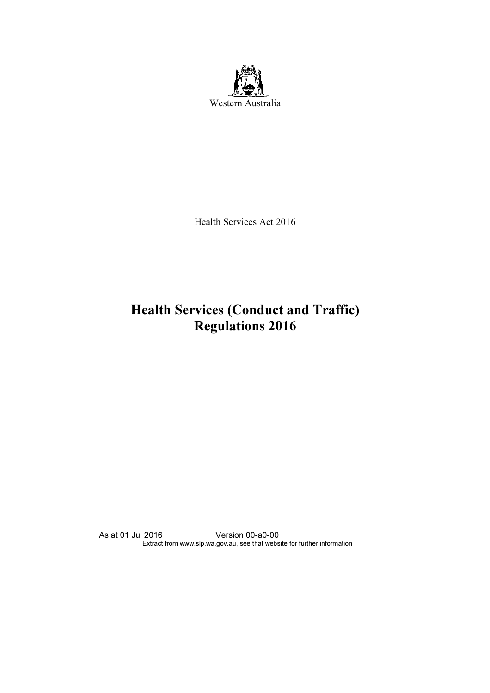

Health Services Act 2016

# Health Services (Conduct and Traffic) Regulations 2016

As at 01 Jul 2016 Version 00-a0-00 Extract from www.slp.wa.gov.au, see that website for further information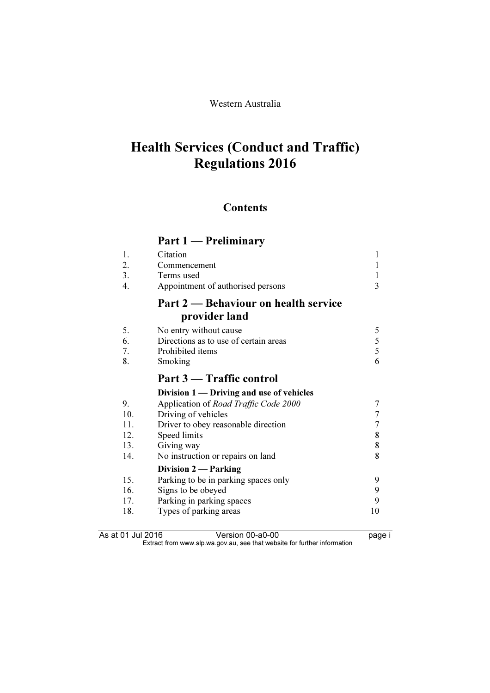# Western Australia

# Health Services (Conduct and Traffic) Regulations 2016

# **Contents**

# Part 1 — Preliminary

| 1.  | Citation                                   | 1                |
|-----|--------------------------------------------|------------------|
| 2.  | Commencement                               | 1                |
| 3.  | Terms used                                 | 1                |
| 4.  | Appointment of authorised persons          | 3                |
|     | Part 2 — Behaviour on health service       |                  |
|     | provider land                              |                  |
| 5.  | No entry without cause                     | 5                |
| 6.  | Directions as to use of certain areas      |                  |
| 7.  | Prohibited items                           | $\frac{5}{5}$    |
| 8.  | Smoking                                    | 6                |
|     | Part 3 — Traffic control                   |                  |
|     | Division $1$ — Driving and use of vehicles |                  |
| 9.  | Application of Road Traffic Code 2000      | 7                |
| 10. | Driving of vehicles                        | $\boldsymbol{7}$ |
| 11. | Driver to obey reasonable direction        | $\overline{7}$   |
| 12. | Speed limits                               | 8                |
| 13. | Giving way                                 | 8                |
| 14. | No instruction or repairs on land          | 8                |
|     | Division 2 — Parking                       |                  |
| 15. | Parking to be in parking spaces only       | 9                |
| 16. | Signs to be obeyed                         | 9                |
| 17. | Parking in parking spaces                  | 9                |
| 18. | Types of parking areas                     | 10               |

As at 01 Jul 2016 Version 00-a0-00 Page i Extract from www.slp.wa.gov.au, see that website for further information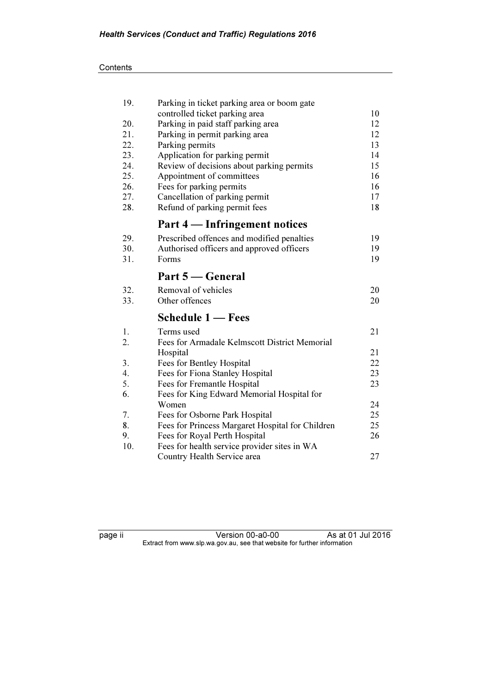| 19.              | Parking in ticket parking area or boom gate                |          |
|------------------|------------------------------------------------------------|----------|
|                  | controlled ticket parking area                             | 10       |
| 20.              | Parking in paid staff parking area                         | 12       |
| 21.              | Parking in permit parking area                             | 12       |
| 22.              | Parking permits                                            | 13       |
| 23.              | Application for parking permit                             | 14       |
| 24.<br>25.       | Review of decisions about parking permits                  | 15<br>16 |
| 26.              | Appointment of committees                                  | 16       |
| 27.              | Fees for parking permits<br>Cancellation of parking permit | 17       |
| 28.              | Refund of parking permit fees                              | 18       |
|                  |                                                            |          |
|                  | Part 4 — Infringement notices                              |          |
| 29.              | Prescribed offences and modified penalties                 | 19       |
| 30.              | Authorised officers and approved officers                  | 19       |
| 31.              | Forms                                                      | 19       |
|                  | Part 5 — General                                           |          |
| 32.              | Removal of vehicles                                        | 20       |
| 33.              | Other offences                                             | 20       |
|                  | Schedule 1 – Fees                                          |          |
| 1.               | Terms used                                                 | 21       |
| 2.               | Fees for Armadale Kelmscott District Memorial              |          |
|                  | Hospital                                                   | 21       |
| 3.               | Fees for Bentley Hospital                                  | 22       |
| $\overline{4}$ . | Fees for Fiona Stanley Hospital                            | 23       |
| 5.               | Fees for Fremantle Hospital                                | 23       |
| 6.               | Fees for King Edward Memorial Hospital for                 |          |
|                  | Women                                                      | 24       |
| 7.               |                                                            |          |
|                  | Fees for Osborne Park Hospital                             | 25       |
| 8.               | Fees for Princess Margaret Hospital for Children           | 25       |
| 9.               | Fees for Royal Perth Hospital                              | 26       |
| 10.              | Fees for health service provider sites in WA               |          |
|                  | Country Health Service area                                | 27       |

page ii Version 00-a0-00 As at 01 Jul 2016  $\mathbf{F}$  from which was the set that we besite for further information  $\mathbf{F}$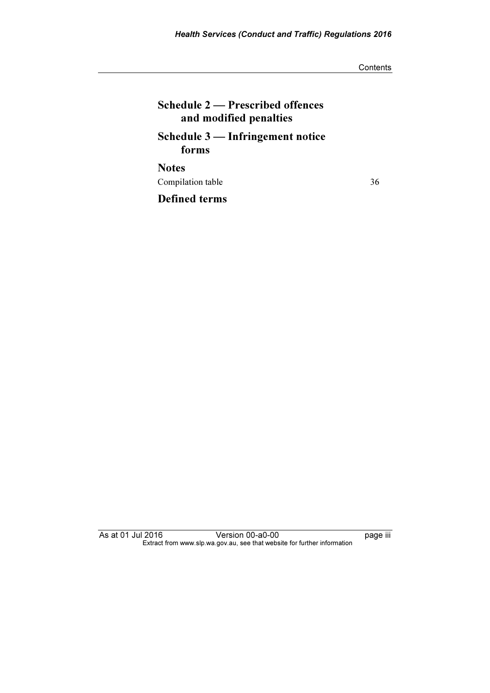Health Services (Conduct and Traffic) Regulations 2016

**Contents** 

# Schedule 2 — Prescribed offences and modified penalties Schedule 3 — Infringement notice forms **Notes** Compilation table 36 Defined terms

As at 01 Jul 2016 Version 00-a0-00 Page iii Extract from www.slp.wa.gov.au, see that website for further information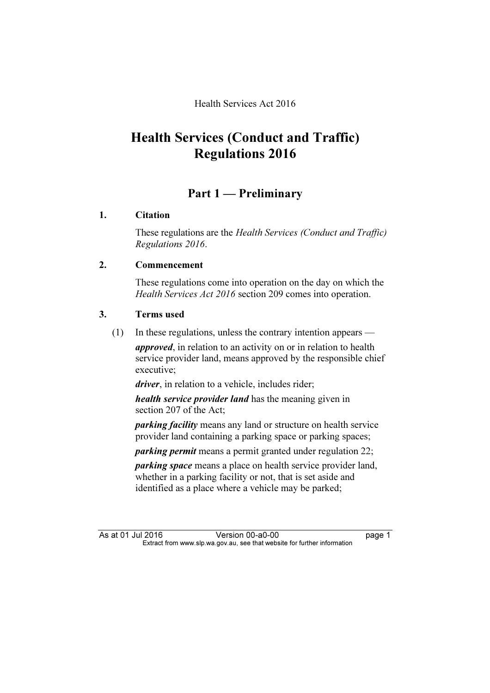Health Services Act 2016

# Health Services (Conduct and Traffic) Regulations 2016

# Part 1 — Preliminary

# 1. Citation

 These regulations are the Health Services (Conduct and Traffic) Regulations 2016.

# 2. Commencement

 These regulations come into operation on the day on which the Health Services Act 2016 section 209 comes into operation.

#### 3. Terms used

(1) In these regulations, unless the contrary intention appears —

approved, in relation to an activity on or in relation to health service provider land, means approved by the responsible chief executive;

driver, in relation to a vehicle, includes rider;

health service provider land has the meaning given in section 207 of the Act;

*parking facility* means any land or structure on health service provider land containing a parking space or parking spaces;

parking permit means a permit granted under regulation 22;

parking space means a place on health service provider land, whether in a parking facility or not, that is set aside and identified as a place where a vehicle may be parked;

As at 01 Jul 2016 Version 00-a0-00 Page 1 Extract from www.slp.wa.gov.au, see that website for further information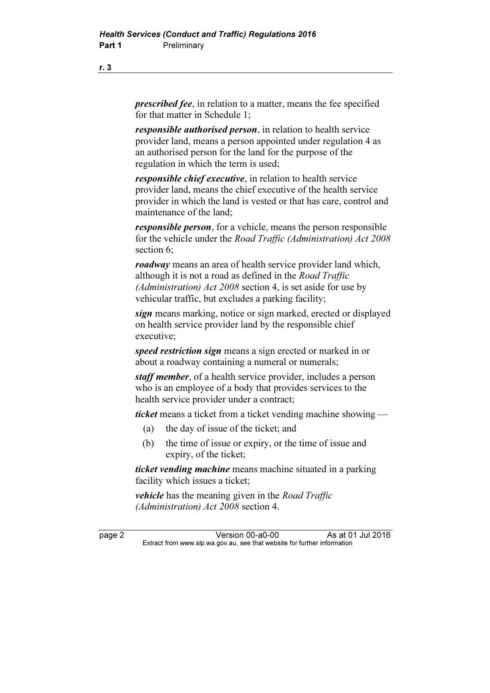prescribed fee, in relation to a matter, means the fee specified for that matter in Schedule 1;

responsible *authorised person*, in relation to health service provider land, means a person appointed under regulation 4 as an authorised person for the land for the purpose of the regulation in which the term is used;

responsible chief executive, in relation to health service provider land, means the chief executive of the health service provider in which the land is vested or that has care, control and maintenance of the land;

*responsible person*, for a vehicle, means the person responsible for the vehicle under the Road Traffic (Administration) Act 2008 section 6;

roadway means an area of health service provider land which, although it is not a road as defined in the Road Traffic (Administration) Act 2008 section 4, is set aside for use by vehicular traffic, but excludes a parking facility;

sign means marking, notice or sign marked, erected or displayed on health service provider land by the responsible chief executive;

speed restriction sign means a sign erected or marked in or about a roadway containing a numeral or numerals;

staff member, of a health service provider, includes a person who is an employee of a body that provides services to the health service provider under a contract;

ticket means a ticket from a ticket vending machine showing —

- (a) the day of issue of the ticket; and
- (b) the time of issue or expiry, or the time of issue and expiry, of the ticket;

ticket vending machine means machine situated in a parking facility which issues a ticket;

vehicle has the meaning given in the Road Traffic (Administration) Act 2008 section 4.

page 2 Version 00-a0-00 As at 01 Jul 2016<br>Extract from www.slp.wa.gov.au, see that website for further information  $\mathbf{F}$  from which was the set that we besite for further information  $\mathbf{F}$ 

r. 3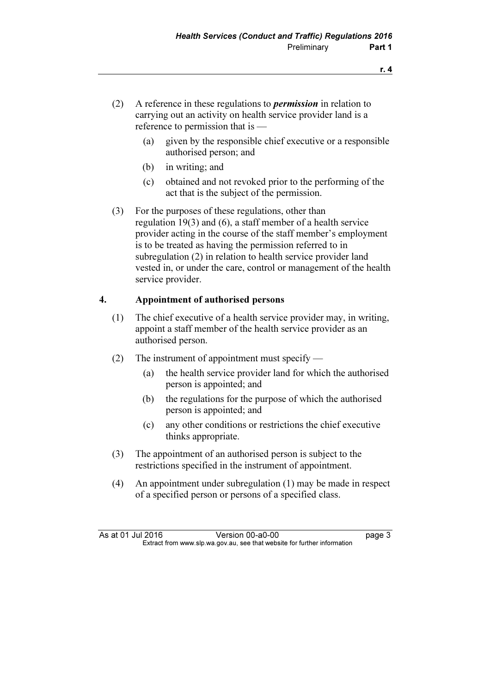- (2) A reference in these regulations to permission in relation to carrying out an activity on health service provider land is a reference to permission that is —
	- (a) given by the responsible chief executive or a responsible authorised person; and
	- (b) in writing; and
	- (c) obtained and not revoked prior to the performing of the act that is the subject of the permission.
- (3) For the purposes of these regulations, other than regulation 19(3) and (6), a staff member of a health service provider acting in the course of the staff member's employment is to be treated as having the permission referred to in subregulation (2) in relation to health service provider land vested in, or under the care, control or management of the health service provider.

# 4. Appointment of authorised persons

- (1) The chief executive of a health service provider may, in writing, appoint a staff member of the health service provider as an authorised person.
- (2) The instrument of appointment must specify
	- (a) the health service provider land for which the authorised person is appointed; and
	- (b) the regulations for the purpose of which the authorised person is appointed; and
	- (c) any other conditions or restrictions the chief executive thinks appropriate.
- (3) The appointment of an authorised person is subject to the restrictions specified in the instrument of appointment.
- (4) An appointment under subregulation (1) may be made in respect of a specified person or persons of a specified class.

As at 01 Jul 2016 Version 00-a0-00 page 3<br>Extract from www.slp.wa.gov.au, see that website for further information  $\mathbf{F}$  from which was the set that we besite for further information  $\mathbf{F}$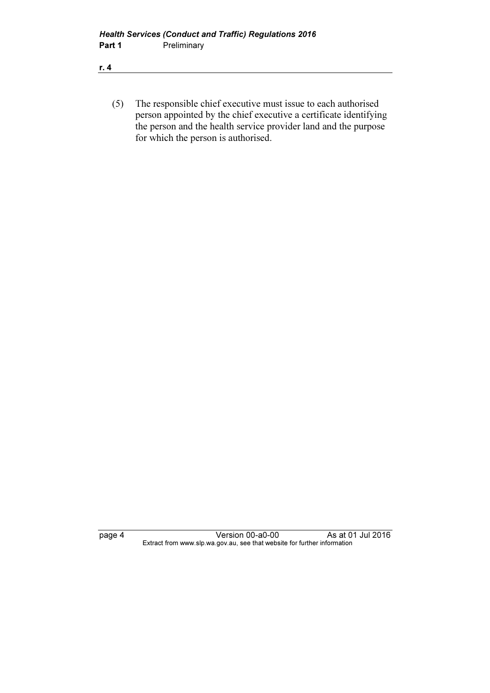#### r. 4

 (5) The responsible chief executive must issue to each authorised person appointed by the chief executive a certificate identifying the person and the health service provider land and the purpose for which the person is authorised.

page 4 Version 00-a0-00 As at 01 Jul 2016 Extract from www.slp.wa.gov.au, see that website for further information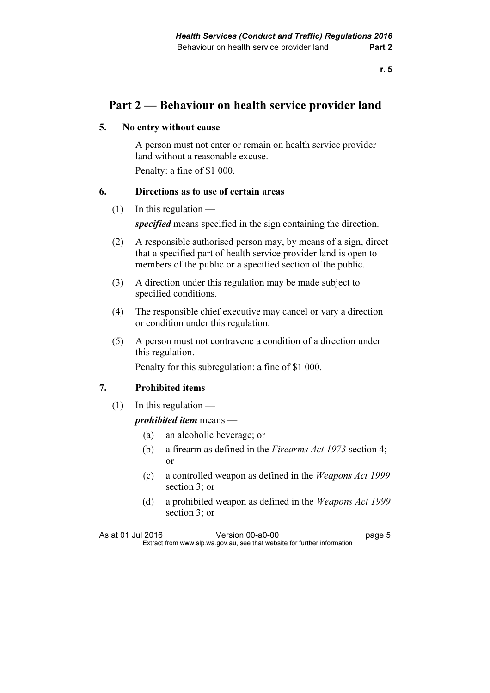# Part 2 — Behaviour on health service provider land

### 5. No entry without cause

 A person must not enter or remain on health service provider land without a reasonable excuse.

Penalty: a fine of \$1 000.

#### 6. Directions as to use of certain areas

 $(1)$  In this regulation —

specified means specified in the sign containing the direction.

- (2) A responsible authorised person may, by means of a sign, direct that a specified part of health service provider land is open to members of the public or a specified section of the public.
- (3) A direction under this regulation may be made subject to specified conditions.
- (4) The responsible chief executive may cancel or vary a direction or condition under this regulation.
- (5) A person must not contravene a condition of a direction under this regulation.

Penalty for this subregulation: a fine of \$1 000.

# 7. Prohibited items

 $(1)$  In this regulation —

prohibited item means —

- (a) an alcoholic beverage; or
- (b) a firearm as defined in the Firearms Act 1973 section 4; or
- (c) a controlled weapon as defined in the Weapons Act 1999 section 3; or
- (d) a prohibited weapon as defined in the Weapons Act 1999 section 3; or

As at 01 Jul 2016 Version 00-a0-00 page 5<br>Extract from www.slp.wa.gov.au, see that website for further information  $\mathbf{F}$  from which was the set that we besite for further information  $\mathbf{F}$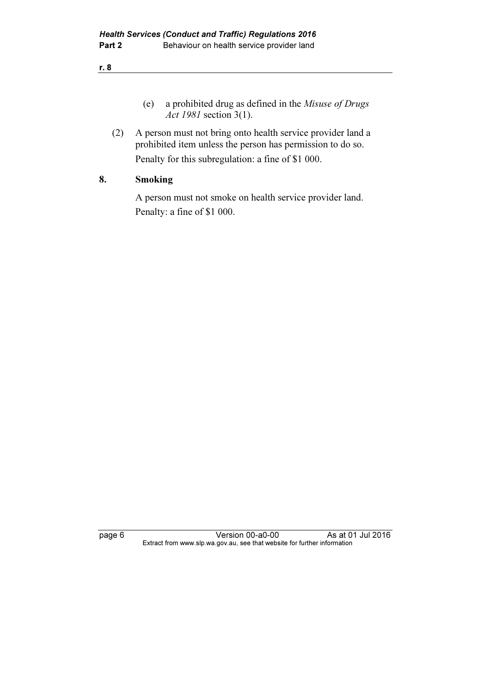# (e) a prohibited drug as defined in the Misuse of Drugs Act 1981 section 3(1).

 (2) A person must not bring onto health service provider land a prohibited item unless the person has permission to do so. Penalty for this subregulation: a fine of \$1 000.

# 8. Smoking

 A person must not smoke on health service provider land. Penalty: a fine of \$1 000.

page 6 Version 00-a0-00 As at 01 Jul 2016 Extract from www.slp.wa.gov.au, see that website for further information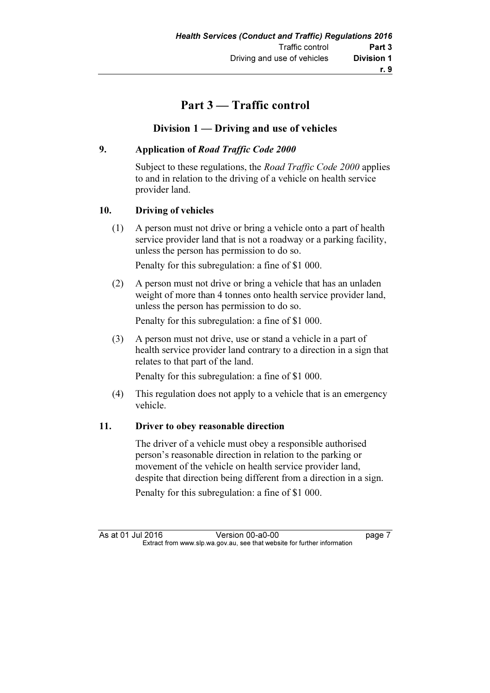# Part 3 — Traffic control

# Division 1 — Driving and use of vehicles

### 9. Application of Road Traffic Code 2000

Subject to these regulations, the *Road Traffic Code 2000* applies to and in relation to the driving of a vehicle on health service provider land.

#### 10. Driving of vehicles

 (1) A person must not drive or bring a vehicle onto a part of health service provider land that is not a roadway or a parking facility, unless the person has permission to do so.

Penalty for this subregulation: a fine of \$1 000.

 (2) A person must not drive or bring a vehicle that has an unladen weight of more than 4 tonnes onto health service provider land, unless the person has permission to do so.

Penalty for this subregulation: a fine of \$1 000.

 (3) A person must not drive, use or stand a vehicle in a part of health service provider land contrary to a direction in a sign that relates to that part of the land.

Penalty for this subregulation: a fine of \$1 000.

 (4) This regulation does not apply to a vehicle that is an emergency vehicle.

#### 11. Driver to obey reasonable direction

 The driver of a vehicle must obey a responsible authorised person's reasonable direction in relation to the parking or movement of the vehicle on health service provider land, despite that direction being different from a direction in a sign.

Penalty for this subregulation: a fine of \$1 000.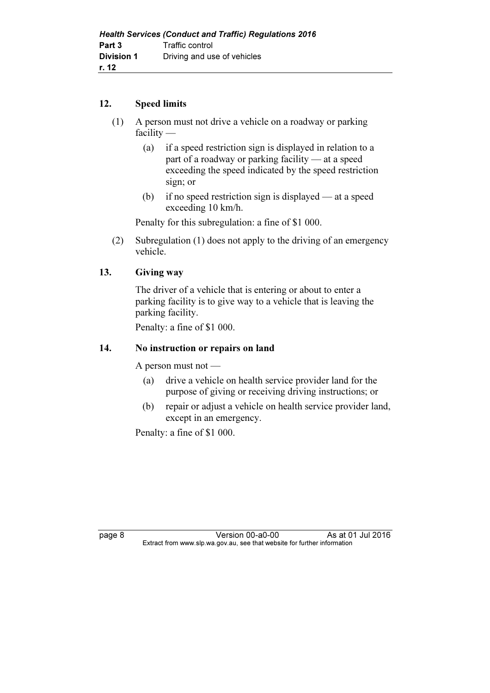# 12. Speed limits

- (1) A person must not drive a vehicle on a roadway or parking facility —
	- (a) if a speed restriction sign is displayed in relation to a part of a roadway or parking facility — at a speed exceeding the speed indicated by the speed restriction sign; or
	- (b) if no speed restriction sign is displayed at a speed exceeding 10 km/h.

Penalty for this subregulation: a fine of \$1 000.

 (2) Subregulation (1) does not apply to the driving of an emergency vehicle.

#### 13. Giving way

 The driver of a vehicle that is entering or about to enter a parking facility is to give way to a vehicle that is leaving the parking facility.

Penalty: a fine of \$1 000.

#### 14. No instruction or repairs on land

A person must not —

- (a) drive a vehicle on health service provider land for the purpose of giving or receiving driving instructions; or
- (b) repair or adjust a vehicle on health service provider land, except in an emergency.

Penalty: a fine of \$1 000.

page 8 Version 00-a0-00 As at 01 Jul 2016 Extract from www.slp.wa.gov.au, see that website for further information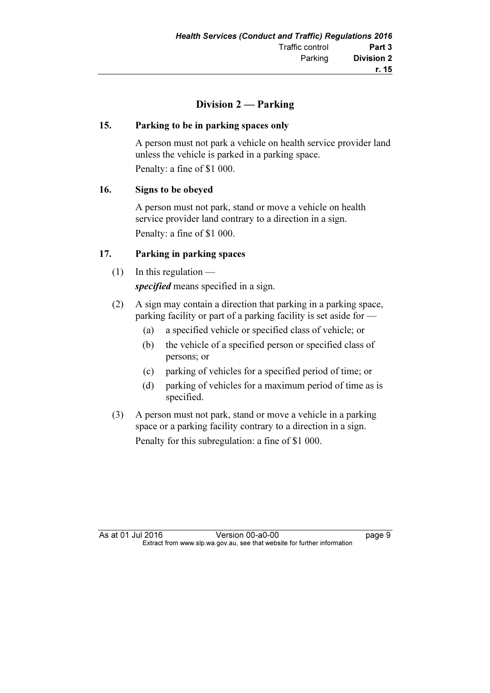# Division 2 — Parking

### 15. Parking to be in parking spaces only

 A person must not park a vehicle on health service provider land unless the vehicle is parked in a parking space.

Penalty: a fine of \$1 000.

# 16. Signs to be obeyed

 A person must not park, stand or move a vehicle on health service provider land contrary to a direction in a sign. Penalty: a fine of \$1 000.

# 17. Parking in parking spaces

- $(1)$  In this regulation specified means specified in a sign.
- (2) A sign may contain a direction that parking in a parking space, parking facility or part of a parking facility is set aside for —
	- (a) a specified vehicle or specified class of vehicle; or
	- (b) the vehicle of a specified person or specified class of persons; or
	- (c) parking of vehicles for a specified period of time; or
	- (d) parking of vehicles for a maximum period of time as is specified.
- (3) A person must not park, stand or move a vehicle in a parking space or a parking facility contrary to a direction in a sign. Penalty for this subregulation: a fine of \$1 000.

As at 01 Jul 2016 Version 00-a0-00 Page 9 Extract from www.slp.wa.gov.au, see that website for further information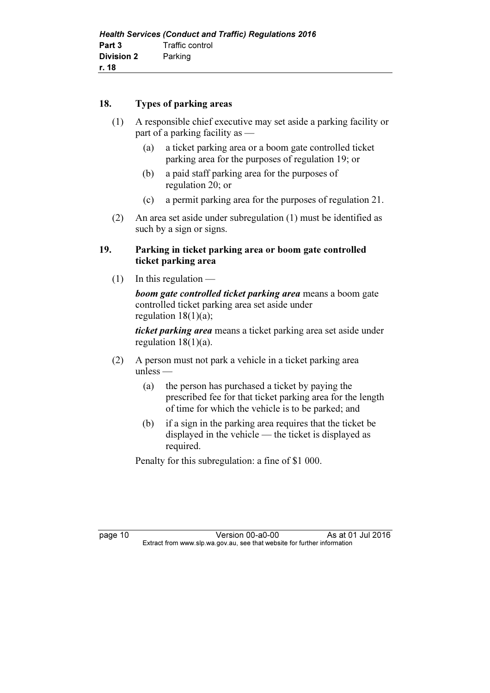#### 18. Types of parking areas

- (1) A responsible chief executive may set aside a parking facility or part of a parking facility as —
	- (a) a ticket parking area or a boom gate controlled ticket parking area for the purposes of regulation 19; or
	- (b) a paid staff parking area for the purposes of regulation 20; or
	- (c) a permit parking area for the purposes of regulation 21.
- (2) An area set aside under subregulation (1) must be identified as such by a sign or signs.

### 19. Parking in ticket parking area or boom gate controlled ticket parking area

 $(1)$  In this regulation —

boom gate controlled ticket parking area means a boom gate controlled ticket parking area set aside under regulation  $18(1)(a)$ ;

ticket parking area means a ticket parking area set aside under regulation 18(1)(a).

- (2) A person must not park a vehicle in a ticket parking area unless —
	- (a) the person has purchased a ticket by paying the prescribed fee for that ticket parking area for the length of time for which the vehicle is to be parked; and
	- (b) if a sign in the parking area requires that the ticket be displayed in the vehicle — the ticket is displayed as required.

Penalty for this subregulation: a fine of \$1 000.

page 10 Version 00-a0-00 As at 01 Jul 2016<br>Extract from www.slp.wa.gov.au, see that website for further information  $\mathbf{F}$  from which was the set that we besite for further information  $\mathbf{F}$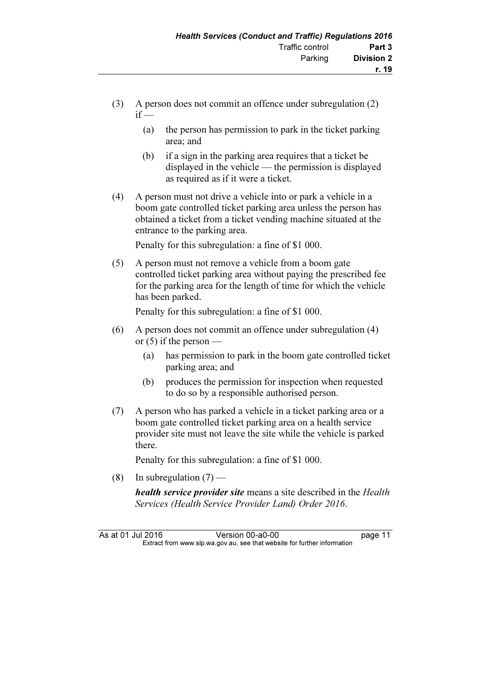- (3) A person does not commit an offence under subregulation (2)  $if -$ 
	- (a) the person has permission to park in the ticket parking area; and
	- (b) if a sign in the parking area requires that a ticket be displayed in the vehicle — the permission is displayed as required as if it were a ticket.
- (4) A person must not drive a vehicle into or park a vehicle in a boom gate controlled ticket parking area unless the person has obtained a ticket from a ticket vending machine situated at the entrance to the parking area.

Penalty for this subregulation: a fine of \$1 000.

 (5) A person must not remove a vehicle from a boom gate controlled ticket parking area without paying the prescribed fee for the parking area for the length of time for which the vehicle has been parked.

Penalty for this subregulation: a fine of \$1 000.

- (6) A person does not commit an offence under subregulation (4) or  $(5)$  if the person -
	- (a) has permission to park in the boom gate controlled ticket parking area; and
	- (b) produces the permission for inspection when requested to do so by a responsible authorised person.
- (7) A person who has parked a vehicle in a ticket parking area or a boom gate controlled ticket parking area on a health service provider site must not leave the site while the vehicle is parked there.

Penalty for this subregulation: a fine of \$1 000.

(8) In subregulation  $(7)$  —

health service provider site means a site described in the Health Services (Health Service Provider Land) Order 2016.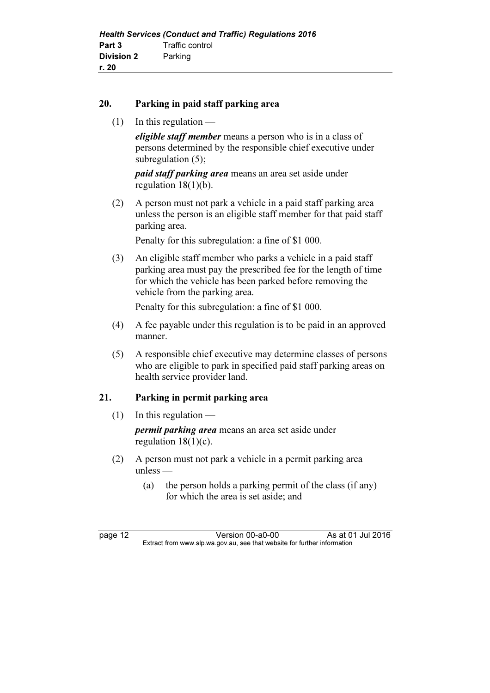# 20. Parking in paid staff parking area

 $(1)$  In this regulation —

eligible staff member means a person who is in a class of persons determined by the responsible chief executive under subregulation (5):

paid staff parking area means an area set aside under regulation 18(1)(b).

 (2) A person must not park a vehicle in a paid staff parking area unless the person is an eligible staff member for that paid staff parking area.

Penalty for this subregulation: a fine of \$1 000.

 (3) An eligible staff member who parks a vehicle in a paid staff parking area must pay the prescribed fee for the length of time for which the vehicle has been parked before removing the vehicle from the parking area.

Penalty for this subregulation: a fine of \$1 000.

- (4) A fee payable under this regulation is to be paid in an approved manner.
- (5) A responsible chief executive may determine classes of persons who are eligible to park in specified paid staff parking areas on health service provider land.

# 21. Parking in permit parking area

 $(1)$  In this regulation —

permit parking area means an area set aside under regulation  $18(1)(c)$ .

- (2) A person must not park a vehicle in a permit parking area unless —
	- (a) the person holds a parking permit of the class (if any) for which the area is set aside; and

page 12 Version 00-a0-00 As at 01 Jul 2016<br>Extract from www.slp.wa.gov.au, see that website for further information  $\mathbf{F}$  from which was the set that we besite for further information  $\mathbf{F}$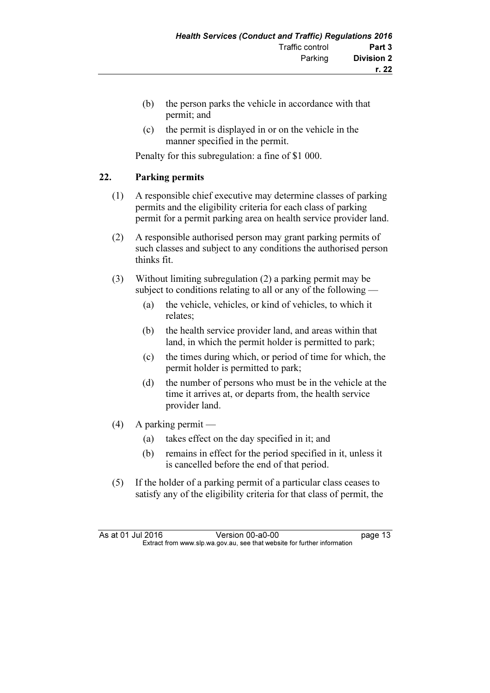- (b) the person parks the vehicle in accordance with that permit; and
- (c) the permit is displayed in or on the vehicle in the manner specified in the permit.

Penalty for this subregulation: a fine of \$1 000.

# 22. Parking permits

- (1) A responsible chief executive may determine classes of parking permits and the eligibility criteria for each class of parking permit for a permit parking area on health service provider land.
- (2) A responsible authorised person may grant parking permits of such classes and subject to any conditions the authorised person thinks fit.
- (3) Without limiting subregulation (2) a parking permit may be subject to conditions relating to all or any of the following —
	- (a) the vehicle, vehicles, or kind of vehicles, to which it relates;
	- (b) the health service provider land, and areas within that land, in which the permit holder is permitted to park;
	- (c) the times during which, or period of time for which, the permit holder is permitted to park;
	- (d) the number of persons who must be in the vehicle at the time it arrives at, or departs from, the health service provider land.
- (4) A parking permit
	- (a) takes effect on the day specified in it; and
	- (b) remains in effect for the period specified in it, unless it is cancelled before the end of that period.
- (5) If the holder of a parking permit of a particular class ceases to satisfy any of the eligibility criteria for that class of permit, the

As at 01 Jul 2016 Version 00-a0-00 page 13<br>Extract from www.slp.wa.gov.au, see that website for further information  $\mathbf{F}$  from which was the set that we besite for further information  $\mathbf{F}$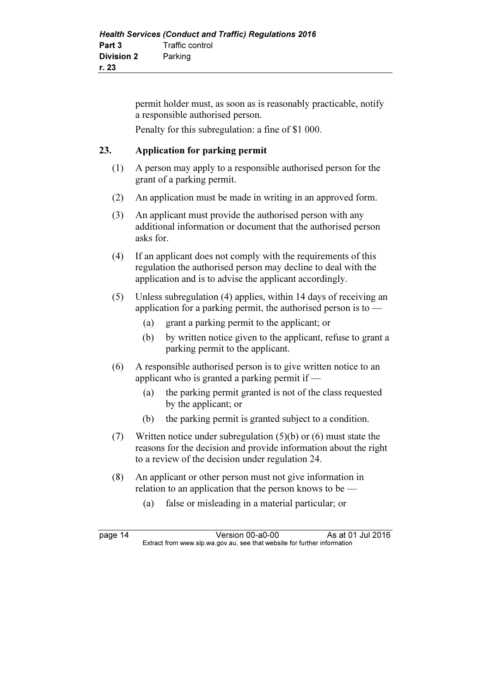permit holder must, as soon as is reasonably practicable, notify a responsible authorised person.

Penalty for this subregulation: a fine of \$1 000.

#### 23. Application for parking permit

- (1) A person may apply to a responsible authorised person for the grant of a parking permit.
- (2) An application must be made in writing in an approved form.
- (3) An applicant must provide the authorised person with any additional information or document that the authorised person asks for.
- (4) If an applicant does not comply with the requirements of this regulation the authorised person may decline to deal with the application and is to advise the applicant accordingly.
- (5) Unless subregulation (4) applies, within 14 days of receiving an application for a parking permit, the authorised person is to  $-$ 
	- (a) grant a parking permit to the applicant; or
	- (b) by written notice given to the applicant, refuse to grant a parking permit to the applicant.
- (6) A responsible authorised person is to give written notice to an applicant who is granted a parking permit if —
	- (a) the parking permit granted is not of the class requested by the applicant; or
	- (b) the parking permit is granted subject to a condition.
- (7) Written notice under subregulation (5)(b) or (6) must state the reasons for the decision and provide information about the right to a review of the decision under regulation 24.
- (8) An applicant or other person must not give information in relation to an application that the person knows to be —
	- (a) false or misleading in a material particular; or

page 14 Version 00-a0-00 As at 01 Jul 2016<br>Extract from www.slp.wa.gov.au, see that website for further information  $\mathbf{F}$  from which was the set that we besite for further information  $\mathbf{F}$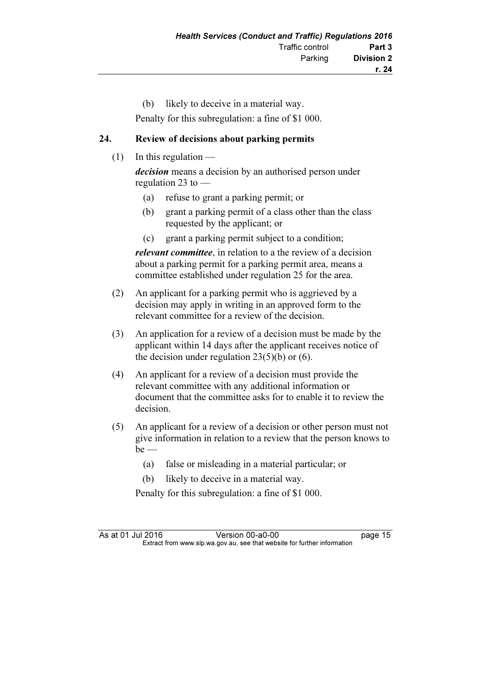(b) likely to deceive in a material way.

Penalty for this subregulation: a fine of \$1 000.

### 24. Review of decisions about parking permits

 $(1)$  In this regulation —

decision means a decision by an authorised person under regulation 23 to —

- (a) refuse to grant a parking permit; or
- (b) grant a parking permit of a class other than the class requested by the applicant; or
- (c) grant a parking permit subject to a condition;

relevant committee, in relation to a the review of a decision about a parking permit for a parking permit area, means a committee established under regulation 25 for the area.

- (2) An applicant for a parking permit who is aggrieved by a decision may apply in writing in an approved form to the relevant committee for a review of the decision.
- (3) An application for a review of a decision must be made by the applicant within 14 days after the applicant receives notice of the decision under regulation  $23(5)(b)$  or  $(6)$ .
- (4) An applicant for a review of a decision must provide the relevant committee with any additional information or document that the committee asks for to enable it to review the decision.
- (5) An applicant for a review of a decision or other person must not give information in relation to a review that the person knows to  $he$  —
	- (a) false or misleading in a material particular; or
	- (b) likely to deceive in a material way.

Penalty for this subregulation: a fine of \$1 000.

As at 01 Jul 2016 Version 00-a0-00 page 15<br>Extract from www.slp.wa.gov.au, see that website for further information  $\mathbf{F}$  from which was the set that we besite for further information  $\mathbf{F}$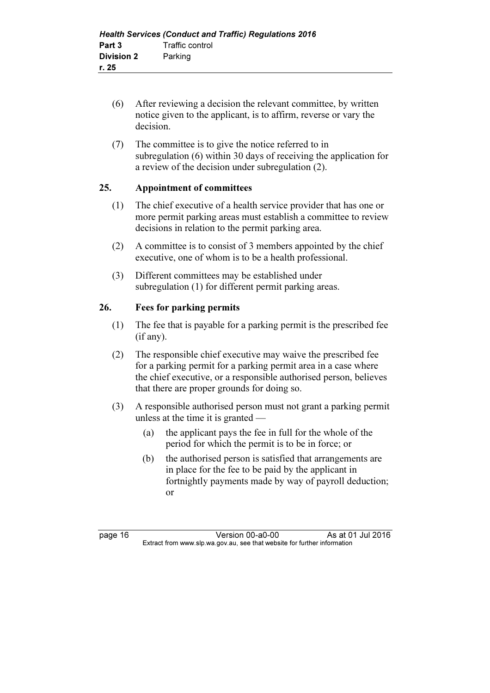- (6) After reviewing a decision the relevant committee, by written notice given to the applicant, is to affirm, reverse or vary the decision.
- (7) The committee is to give the notice referred to in subregulation (6) within 30 days of receiving the application for a review of the decision under subregulation (2).

#### 25. Appointment of committees

- (1) The chief executive of a health service provider that has one or more permit parking areas must establish a committee to review decisions in relation to the permit parking area.
- (2) A committee is to consist of 3 members appointed by the chief executive, one of whom is to be a health professional.
- (3) Different committees may be established under subregulation (1) for different permit parking areas.

#### 26. Fees for parking permits

- (1) The fee that is payable for a parking permit is the prescribed fee (if any).
- (2) The responsible chief executive may waive the prescribed fee for a parking permit for a parking permit area in a case where the chief executive, or a responsible authorised person, believes that there are proper grounds for doing so.
- (3) A responsible authorised person must not grant a parking permit unless at the time it is granted —
	- (a) the applicant pays the fee in full for the whole of the period for which the permit is to be in force; or
	- (b) the authorised person is satisfied that arrangements are in place for the fee to be paid by the applicant in fortnightly payments made by way of payroll deduction; or

page 16 Version 00-a0-00 As at 01 Jul 2016<br>Extract from www.slp.wa.gov.au, see that website for further information  $\mathbf{F}$  from which was the set that we besite for further information  $\mathbf{F}$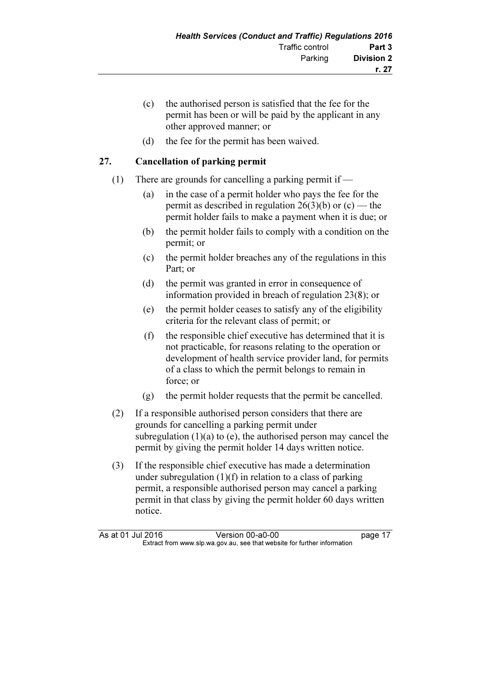- (c) the authorised person is satisfied that the fee for the permit has been or will be paid by the applicant in any other approved manner; or
- (d) the fee for the permit has been waived.

# 27. Cancellation of parking permit

- (1) There are grounds for cancelling a parking permit if
	- (a) in the case of a permit holder who pays the fee for the permit as described in regulation  $26(3)(b)$  or (c) — the permit holder fails to make a payment when it is due; or
	- (b) the permit holder fails to comply with a condition on the permit; or
	- (c) the permit holder breaches any of the regulations in this Part; or
	- (d) the permit was granted in error in consequence of information provided in breach of regulation 23(8); or
	- (e) the permit holder ceases to satisfy any of the eligibility criteria for the relevant class of permit; or
	- (f) the responsible chief executive has determined that it is not practicable, for reasons relating to the operation or development of health service provider land, for permits of a class to which the permit belongs to remain in force; or
	- (g) the permit holder requests that the permit be cancelled.
- (2) If a responsible authorised person considers that there are grounds for cancelling a parking permit under subregulation (1)(a) to (e), the authorised person may cancel the permit by giving the permit holder 14 days written notice.
- (3) If the responsible chief executive has made a determination under subregulation (1)(f) in relation to a class of parking permit, a responsible authorised person may cancel a parking permit in that class by giving the permit holder 60 days written notice.

As at 01 Jul 2016 Version 00-a0-00 page 17<br>Extract from www.slp.wa.gov.au, see that website for further information  $\mathbf{F}$  from which was the set that we besite for further information  $\mathbf{F}$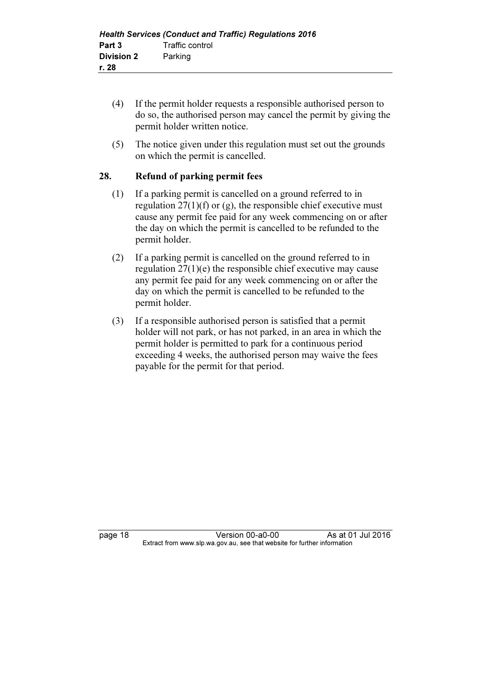- (4) If the permit holder requests a responsible authorised person to do so, the authorised person may cancel the permit by giving the permit holder written notice.
- (5) The notice given under this regulation must set out the grounds on which the permit is cancelled.

# 28. Refund of parking permit fees

- (1) If a parking permit is cancelled on a ground referred to in regulation  $27(1)(f)$  or (g), the responsible chief executive must cause any permit fee paid for any week commencing on or after the day on which the permit is cancelled to be refunded to the permit holder.
- (2) If a parking permit is cancelled on the ground referred to in regulation 27(1)(e) the responsible chief executive may cause any permit fee paid for any week commencing on or after the day on which the permit is cancelled to be refunded to the permit holder.
- (3) If a responsible authorised person is satisfied that a permit holder will not park, or has not parked, in an area in which the permit holder is permitted to park for a continuous period exceeding 4 weeks, the authorised person may waive the fees payable for the permit for that period.

page 18 Version 00-a0-00 As at 01 Jul 2016<br>Extract from www.slp.wa.gov.au, see that website for further information  $\mathbf{F}$  from which was the set that we besite for further information  $\mathbf{F}$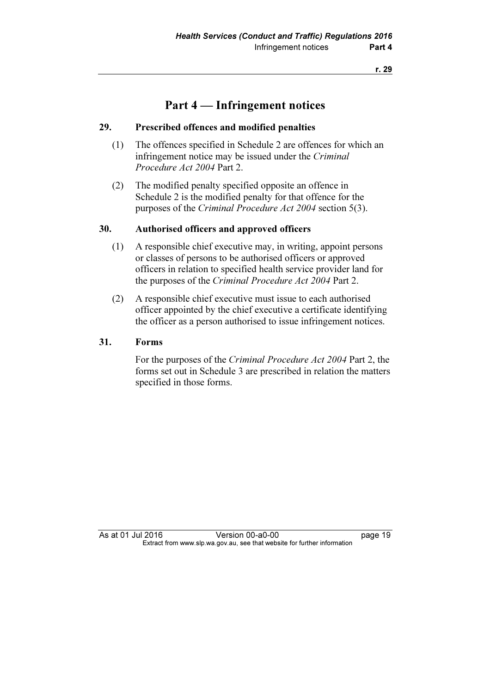# Part 4 — Infringement notices

#### 29. Prescribed offences and modified penalties

- (1) The offences specified in Schedule 2 are offences for which an infringement notice may be issued under the Criminal Procedure Act 2004 Part 2.
- (2) The modified penalty specified opposite an offence in Schedule 2 is the modified penalty for that offence for the purposes of the Criminal Procedure Act 2004 section 5(3).

#### 30. Authorised officers and approved officers

- (1) A responsible chief executive may, in writing, appoint persons or classes of persons to be authorised officers or approved officers in relation to specified health service provider land for the purposes of the Criminal Procedure Act 2004 Part 2.
- (2) A responsible chief executive must issue to each authorised officer appointed by the chief executive a certificate identifying the officer as a person authorised to issue infringement notices.

#### 31. Forms

 For the purposes of the Criminal Procedure Act 2004 Part 2, the forms set out in Schedule 3 are prescribed in relation the matters specified in those forms.

As at 01 Jul 2016 Version 00-a0-00 page 19<br>Extract from www.slp.wa.gov.au, see that website for further information  $\mathbf{F}$  from which was the set that we besite for further information  $\mathbf{F}$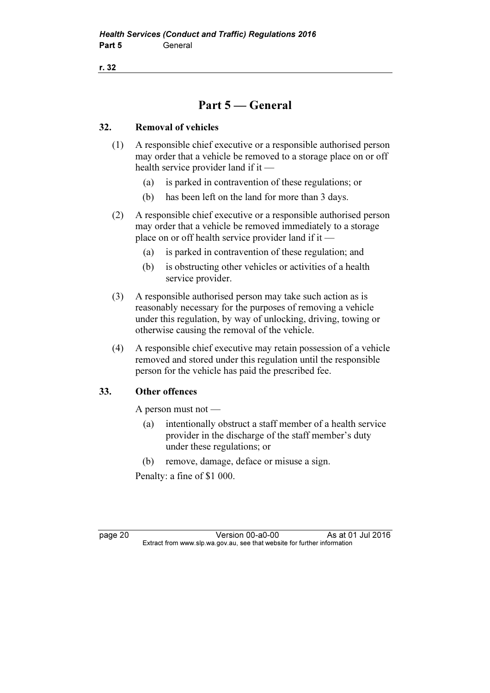r. 32

# Part 5 — General

#### 32. Removal of vehicles

- (1) A responsible chief executive or a responsible authorised person may order that a vehicle be removed to a storage place on or off health service provider land if it —
	- (a) is parked in contravention of these regulations; or
	- (b) has been left on the land for more than 3 days.
- (2) A responsible chief executive or a responsible authorised person may order that a vehicle be removed immediately to a storage place on or off health service provider land if it —
	- (a) is parked in contravention of these regulation; and
	- (b) is obstructing other vehicles or activities of a health service provider.
- (3) A responsible authorised person may take such action as is reasonably necessary for the purposes of removing a vehicle under this regulation, by way of unlocking, driving, towing or otherwise causing the removal of the vehicle.
- (4) A responsible chief executive may retain possession of a vehicle removed and stored under this regulation until the responsible person for the vehicle has paid the prescribed fee.

# 33. Other offences

A person must not —

- (a) intentionally obstruct a staff member of a health service provider in the discharge of the staff member's duty under these regulations; or
- (b) remove, damage, deface or misuse a sign.

Penalty: a fine of \$1 000.

page 20 Version 00-a0-00 As at 01 Jul 2016<br>Extract from www.slp.wa.gov.au, see that website for further information  $\mathbf{F}$  from which was the set that we besite for further information  $\mathbf{F}$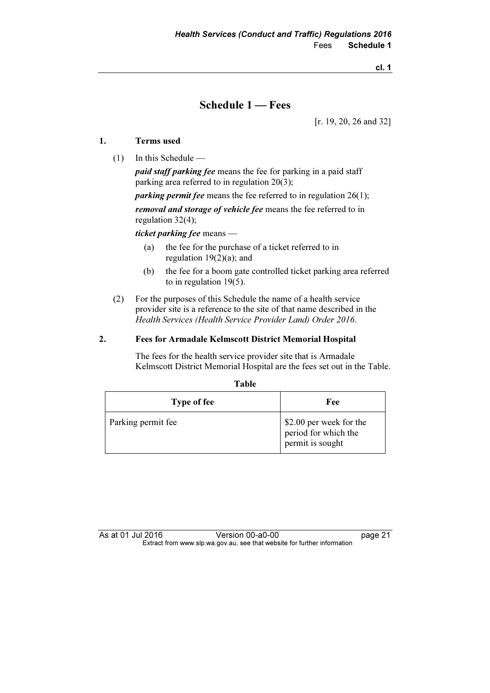# Schedule 1 — Fees

[r. 19, 20, 26 and 32]

#### 1. Terms used

(1) In this Schedule —

paid staff parking fee means the fee for parking in a paid staff parking area referred to in regulation 20(3);

*parking permit fee* means the fee referred to in regulation 26(1);

removal and storage of vehicle fee means the fee referred to in regulation 32(4);

ticket parking fee means —

- (a) the fee for the purchase of a ticket referred to in regulation  $19(2)(a)$ ; and
- (b) the fee for a boom gate controlled ticket parking area referred to in regulation 19(5).
- (2) For the purposes of this Schedule the name of a health service provider site is a reference to the site of that name described in the Health Services (Health Service Provider Land) Order 2016.

#### 2. Fees for Armadale Kelmscott District Memorial Hospital

 The fees for the health service provider site that is Armadale Kelmscott District Memorial Hospital are the fees set out in the Table.

| Type of fee        | Fee                                                              |
|--------------------|------------------------------------------------------------------|
| Parking permit fee | \$2.00 per week for the period for which the<br>permit is sought |

As at 01 Jul 2016 Version 00-a0-00 Extract from www.slp.wa.gov.au, see that website for further information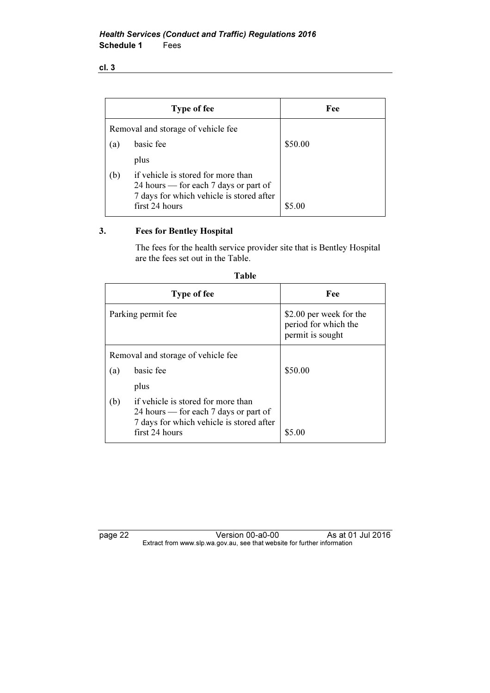#### cl. 3

|                                    | <b>Type of fee</b>                                                                                                                        | Fee     |
|------------------------------------|-------------------------------------------------------------------------------------------------------------------------------------------|---------|
| Removal and storage of vehicle fee |                                                                                                                                           |         |
| [a]                                | basic fee                                                                                                                                 | \$50.00 |
|                                    | plus                                                                                                                                      |         |
| (b)                                | if vehicle is stored for more than<br>24 hours — for each 7 days or part of<br>7 days for which vehicle is stored after<br>first 24 hours |         |

#### 3. Fees for Bentley Hospital

 The fees for the health service provider site that is Bentley Hospital are the fees set out in the Table.

| <b>Type of fee</b>                                                                                                                        | Fee                                                                 |  |
|-------------------------------------------------------------------------------------------------------------------------------------------|---------------------------------------------------------------------|--|
| Parking permit fee                                                                                                                        | \$2.00 per week for the<br>period for which the<br>permit is sought |  |
| Removal and storage of vehicle fee                                                                                                        |                                                                     |  |
| basic fee                                                                                                                                 | \$50.00                                                             |  |
| plus                                                                                                                                      |                                                                     |  |
| if vehicle is stored for more than<br>24 hours — for each 7 days or part of<br>7 days for which vehicle is stored after<br>first 24 hours | \$5.00                                                              |  |
|                                                                                                                                           |                                                                     |  |

| . .<br>U. |
|-----------|
|-----------|

page 22 Version 00-a0-00 As at 01 Jul 2016 Extract from www.slp.wa.gov.au, see that website for further information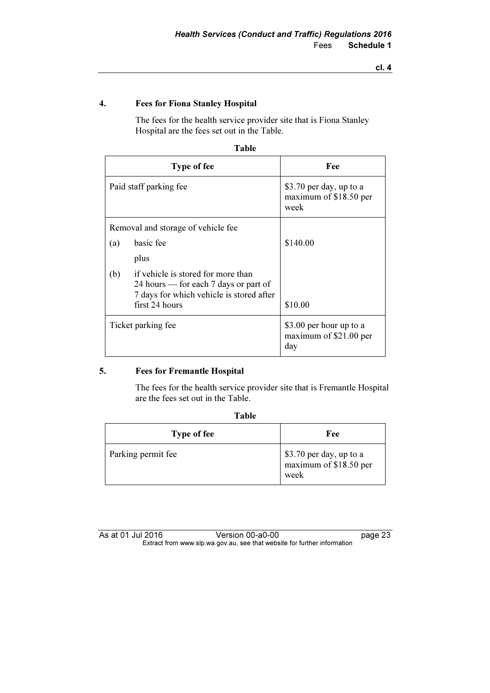#### 4. Fees for Fiona Stanley Hospital

 The fees for the health service provider site that is Fiona Stanley Hospital are the fees set out in the Table.

|                                    | <b>Type of fee</b>                                                                                                      | Fee                                                       |
|------------------------------------|-------------------------------------------------------------------------------------------------------------------------|-----------------------------------------------------------|
| Paid staff parking fee             |                                                                                                                         | \$3.70 per day, up to a<br>maximum of \$18.50 per<br>week |
| Removal and storage of vehicle fee |                                                                                                                         |                                                           |
| (a)                                | hasic fee                                                                                                               | \$140.00                                                  |
|                                    | plus                                                                                                                    |                                                           |
| (b)                                | if vehicle is stored for more than<br>24 hours — for each 7 days or part of<br>7 days for which vehicle is stored after |                                                           |
|                                    | first 24 hours                                                                                                          | \$10.00                                                   |
| Ticket parking fee                 |                                                                                                                         | \$3.00 per hour up to a<br>maximum of \$21.00 per<br>day  |

#### 5. Fees for Fremantle Hospital

 The fees for the health service provider site that is Fremantle Hospital are the fees set out in the Table.

| <b>Type of fee</b> | Fee                                                       |
|--------------------|-----------------------------------------------------------|
| Parking permit fee | \$3.70 per day, up to a<br>maximum of \$18.50 per<br>week |

Table

| As at 01 Jul 2016 | Version 00-a0-00                                                            | page 23 |
|-------------------|-----------------------------------------------------------------------------|---------|
|                   | Eytraat fram ususu ala wa gay ay laag that wahaita far furthar information. |         |

Extract from www.slp.wa.gov.au, see that website for further information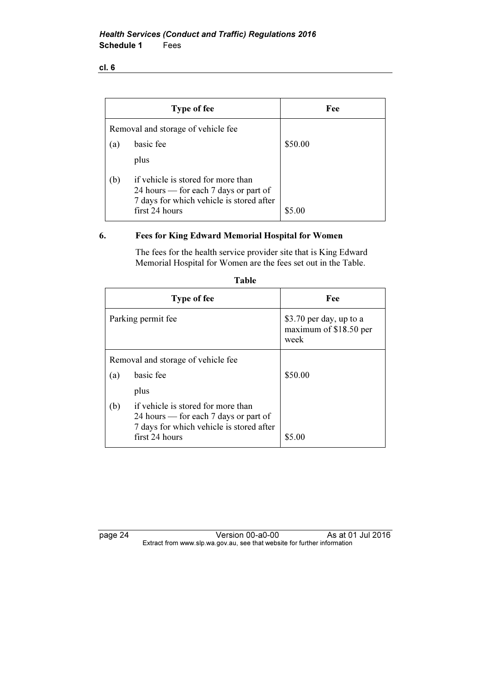#### cl. 6

|                                    | Type of fee                                                                                                             | Fee     |
|------------------------------------|-------------------------------------------------------------------------------------------------------------------------|---------|
| Removal and storage of vehicle fee |                                                                                                                         |         |
| a)                                 | basic fee                                                                                                               | \$50.00 |
|                                    | plus                                                                                                                    |         |
| (b)                                | if vehicle is stored for more than<br>24 hours — for each 7 days or part of<br>7 days for which vehicle is stored after |         |
|                                    | first 24 hours                                                                                                          | \$5.00  |

#### 6. Fees for King Edward Memorial Hospital for Women

 The fees for the health service provider site that is King Edward Memorial Hospital for Women are the fees set out in the Table.

| <b>Type of fee</b>                 |                                                                                   | Fee                                                       |  |
|------------------------------------|-----------------------------------------------------------------------------------|-----------------------------------------------------------|--|
| Parking permit fee                 |                                                                                   | \$3.70 per day, up to a<br>maximum of \$18.50 per<br>week |  |
| Removal and storage of vehicle fee |                                                                                   |                                                           |  |
| (a)                                | basic fee                                                                         | \$50.00                                                   |  |
|                                    | plus                                                                              |                                                           |  |
| (b)                                | if vehicle is stored for more than                                                |                                                           |  |
|                                    | 24 hours — for each 7 days or part of<br>7 days for which vehicle is stored after |                                                           |  |
|                                    | first 24 hours                                                                    | \$5.00                                                    |  |

| ۰,<br>۰,<br>٠<br>×<br>×<br>v |
|------------------------------|
|------------------------------|

page 24 Version 00-a0-00 As at 01 Jul 2016 Extract from www.slp.wa.gov.au, see that website for further information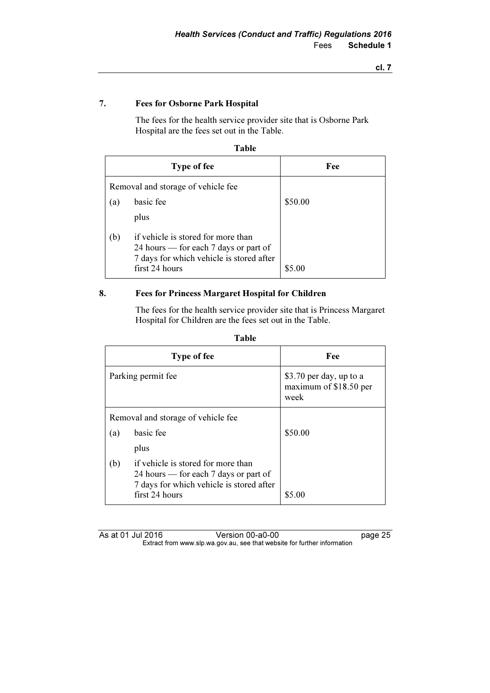#### 7. Fees for Osborne Park Hospital

 The fees for the health service provider site that is Osborne Park Hospital are the fees set out in the Table.

|                                    | <b>Type of fee</b>                                                                                                                        | Fee     |
|------------------------------------|-------------------------------------------------------------------------------------------------------------------------------------------|---------|
| Removal and storage of vehicle fee |                                                                                                                                           |         |
| (a)                                | basic fee                                                                                                                                 | \$50.00 |
|                                    | plus                                                                                                                                      |         |
| (b)                                | if vehicle is stored for more than<br>24 hours — for each 7 days or part of<br>7 days for which vehicle is stored after<br>first 24 hours | \$5.00  |

#### 8. Fees for Princess Margaret Hospital for Children

 The fees for the health service provider site that is Princess Margaret Hospital for Children are the fees set out in the Table.

|                                    | Type of fee                                                                                                                               | Fee                                                       |
|------------------------------------|-------------------------------------------------------------------------------------------------------------------------------------------|-----------------------------------------------------------|
| Parking permit fee                 |                                                                                                                                           | \$3.70 per day, up to a<br>maximum of \$18.50 per<br>week |
| Removal and storage of vehicle fee |                                                                                                                                           |                                                           |
| (a)                                | hasic fee                                                                                                                                 | \$50.00                                                   |
|                                    | plus                                                                                                                                      |                                                           |
| (b)                                | if vehicle is stored for more than<br>24 hours — for each 7 days or part of<br>7 days for which vehicle is stored after<br>first 24 hours | SS 00                                                     |

Table

As at 01 Jul 2016 Version 00-a0-00 Page 25 Extract from www.slp.wa.gov.au, see that website for further information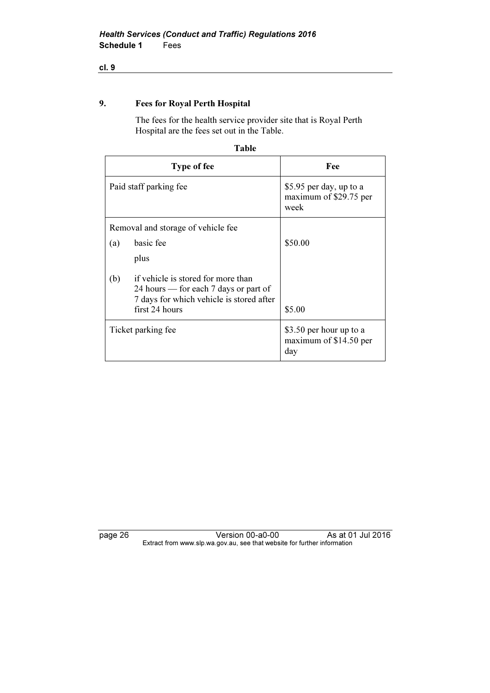# 9. Fees for Royal Perth Hospital

 The fees for the health service provider site that is Royal Perth Hospital are the fees set out in the Table.

|                                    | <b>Type of fee</b>                                                                | Fee                                                       |
|------------------------------------|-----------------------------------------------------------------------------------|-----------------------------------------------------------|
| Paid staff parking fee             |                                                                                   | \$5.95 per day, up to a<br>maximum of \$29.75 per<br>week |
| Removal and storage of vehicle fee |                                                                                   |                                                           |
| (a)                                | basic fee                                                                         | \$50.00                                                   |
|                                    | plus                                                                              |                                                           |
| (b)                                | if vehicle is stored for more than                                                |                                                           |
|                                    | 24 hours — for each 7 days or part of<br>7 days for which vehicle is stored after |                                                           |
|                                    | first 24 hours                                                                    | \$5.00                                                    |
| Ticket parking fee                 |                                                                                   | \$3.50 per hour up to a<br>maximum of \$14.50 per<br>day  |

page 26 Version 00-a0-00 As at 01 Jul 2016 Extract from www.slp.wa.gov.au, see that website for further information

cl. 9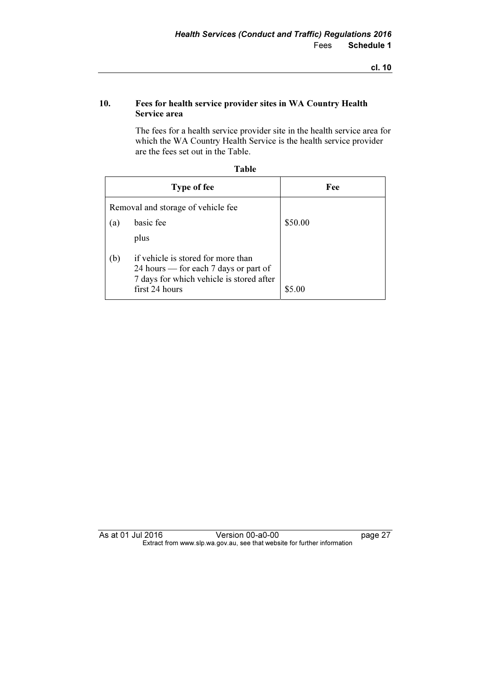#### 10. Fees for health service provider sites in WA Country Health Service area

 The fees for a health service provider site in the health service area for which the WA Country Health Service is the health service provider are the fees set out in the Table.

|                                    | <b>Type of fee</b>                                                                                                                        | Fee     |
|------------------------------------|-------------------------------------------------------------------------------------------------------------------------------------------|---------|
| Removal and storage of vehicle fee |                                                                                                                                           |         |
| (a)                                | basic fee                                                                                                                                 | \$50.00 |
|                                    | plus                                                                                                                                      |         |
| (b)                                | if vehicle is stored for more than<br>24 hours — for each 7 days or part of<br>7 days for which vehicle is stored after<br>first 24 hours | \$5.00  |

#### Table

As at 01 Jul 2016 Version 00-a0-00 page 27 Extract from www.slp.wa.gov.au, see that website for further information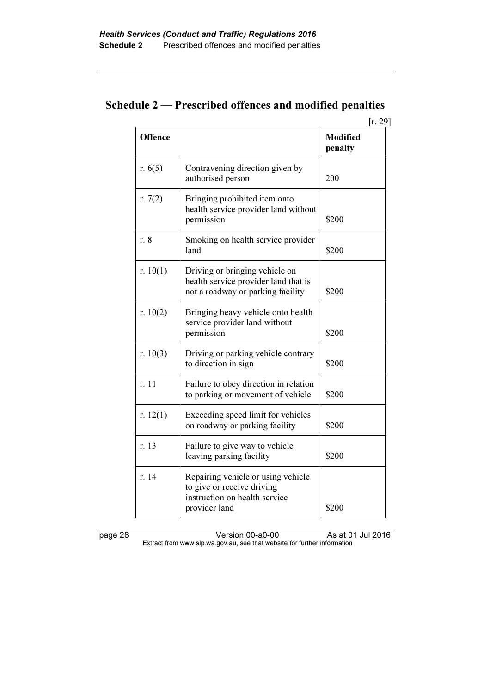# Schedule 2 — Prescribed offences and modified penalties

| <b>Offence</b> |                                                                                                                    | <b>Modified</b><br>penalty |
|----------------|--------------------------------------------------------------------------------------------------------------------|----------------------------|
| r. $6(5)$      | Contravening direction given by<br>authorised person                                                               | 200                        |
| r. $7(2)$      | Bringing prohibited item onto<br>health service provider land without<br>permission                                | \$200                      |
| r. 8           | Smoking on health service provider<br>land                                                                         | \$200                      |
| r. $10(1)$     | Driving or bringing vehicle on<br>health service provider land that is<br>not a roadway or parking facility        | \$200                      |
| r. $10(2)$     | Bringing heavy vehicle onto health<br>service provider land without<br>permission                                  | \$200                      |
| r. $10(3)$     | Driving or parking vehicle contrary<br>to direction in sign                                                        | \$200                      |
| r. 11          | Failure to obey direction in relation<br>to parking or movement of vehicle                                         | \$200                      |
| r. $12(1)$     | Exceeding speed limit for vehicles<br>on roadway or parking facility                                               | \$200                      |
| r. 13          | Failure to give way to vehicle<br>leaving parking facility                                                         | \$200                      |
| r. 14          | Repairing vehicle or using vehicle<br>to give or receive driving<br>instruction on health service<br>provider land | \$200                      |

page 28 Version 00-a0-00 As at 01 Jul 2016 Extract from www.slp.wa.gov.au, see that website for further information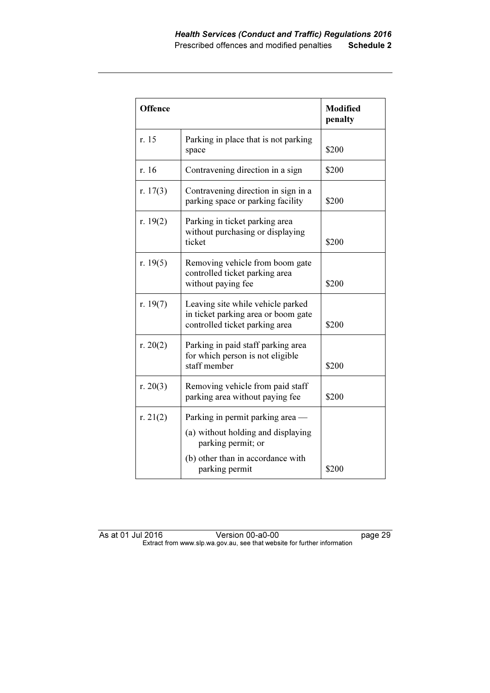| <b>Offence</b> |                                                                                                            | <b>Modified</b><br>penalty |
|----------------|------------------------------------------------------------------------------------------------------------|----------------------------|
| r. 15          | Parking in place that is not parking<br>space                                                              | \$200                      |
| r. 16          | Contravening direction in a sign                                                                           | \$200                      |
| r. $17(3)$     | Contravening direction in sign in a<br>parking space or parking facility                                   | \$200                      |
| r. $19(2)$     | Parking in ticket parking area<br>without purchasing or displaying<br>ticket                               | \$200                      |
| r. $19(5)$     | Removing vehicle from boom gate<br>controlled ticket parking area<br>without paying fee                    | \$200                      |
| r. $19(7)$     | Leaving site while vehicle parked<br>in ticket parking area or boom gate<br>controlled ticket parking area | \$200                      |
| r. 20(2)       | Parking in paid staff parking area<br>for which person is not eligible<br>staff member                     | \$200                      |
| r. $20(3)$     | Removing vehicle from paid staff<br>parking area without paying fee                                        | \$200                      |
| r. $21(2)$     | Parking in permit parking area —                                                                           |                            |
|                | (a) without holding and displaying<br>parking permit; or                                                   |                            |
|                | (b) other than in accordance with<br>parking permit                                                        | \$200                      |

As at 01 Jul 2016 Version 00-a0-00 page 29  $\mathbf{F}$  from which was the set that we besite for further information  $\mathbf{F}$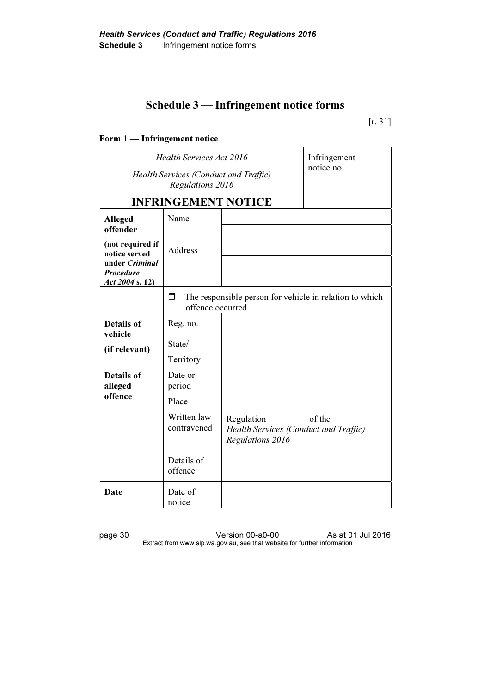# Schedule 3 — Infringement notice forms

# [r. 31]

#### Form 1 — Infringement notice

|                                                       | <b>Health Services Act 2016</b>                           |                                                                         | Infringement |  |
|-------------------------------------------------------|-----------------------------------------------------------|-------------------------------------------------------------------------|--------------|--|
|                                                       | Health Services (Conduct and Traffic)<br>Regulations 2016 |                                                                         | notice no.   |  |
|                                                       | <b>INFRINGEMENT NOTICE</b>                                |                                                                         |              |  |
| <b>Alleged</b><br>offender                            | Name                                                      |                                                                         |              |  |
| (not required if<br>notice served                     | Address                                                   |                                                                         |              |  |
| under Criminal<br><b>Procedure</b><br>Act 2004 s. 12) |                                                           |                                                                         |              |  |
|                                                       | □<br>offence occurred                                     | The responsible person for vehicle in relation to which                 |              |  |
| <b>Details of</b><br>vehicle                          | Reg. no.                                                  |                                                                         |              |  |
| (if relevant)                                         | State/<br>Territory                                       |                                                                         |              |  |
| <b>Details of</b><br>alleged                          | Date or<br>period                                         |                                                                         |              |  |
| offence                                               | Place                                                     |                                                                         |              |  |
|                                                       | Written law<br>contravened                                | Regulation<br>Health Services (Conduct and Traffic)<br>Regulations 2016 | of the       |  |
|                                                       | Details of<br>offence                                     |                                                                         |              |  |
|                                                       |                                                           |                                                                         |              |  |
| <b>Date</b>                                           | Date of<br>notice                                         |                                                                         |              |  |

page 30 Version 00-a0-00 As at 01 Jul 2016 Extract from www.slp.wa.gov.au, see that website for further information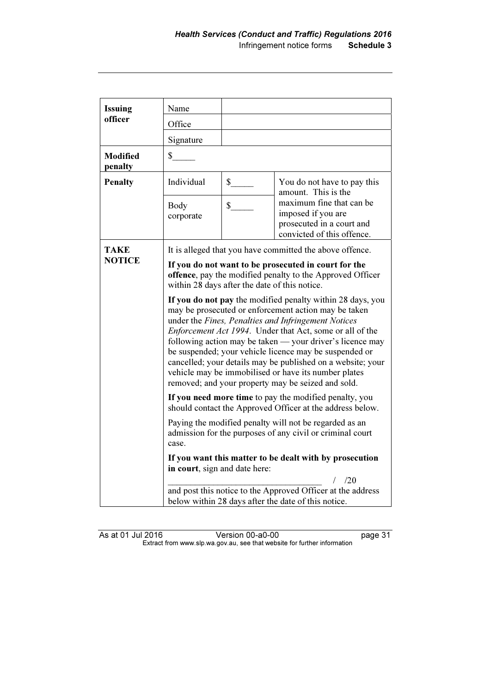| <b>Issuing</b>             | Name                                                                                                                                                                                                                                                                                                                                                                                                                                                                                                                                                                                                                                                                                                                                                                                                                                                                                                                                                                                                                      |                     |                                                                                                           |  |
|----------------------------|---------------------------------------------------------------------------------------------------------------------------------------------------------------------------------------------------------------------------------------------------------------------------------------------------------------------------------------------------------------------------------------------------------------------------------------------------------------------------------------------------------------------------------------------------------------------------------------------------------------------------------------------------------------------------------------------------------------------------------------------------------------------------------------------------------------------------------------------------------------------------------------------------------------------------------------------------------------------------------------------------------------------------|---------------------|-----------------------------------------------------------------------------------------------------------|--|
| officer                    | Office                                                                                                                                                                                                                                                                                                                                                                                                                                                                                                                                                                                                                                                                                                                                                                                                                                                                                                                                                                                                                    |                     |                                                                                                           |  |
|                            | Signature                                                                                                                                                                                                                                                                                                                                                                                                                                                                                                                                                                                                                                                                                                                                                                                                                                                                                                                                                                                                                 |                     |                                                                                                           |  |
| <b>Modified</b><br>penalty | \$                                                                                                                                                                                                                                                                                                                                                                                                                                                                                                                                                                                                                                                                                                                                                                                                                                                                                                                                                                                                                        |                     |                                                                                                           |  |
| <b>Penalty</b>             | Individual                                                                                                                                                                                                                                                                                                                                                                                                                                                                                                                                                                                                                                                                                                                                                                                                                                                                                                                                                                                                                | $s$ <sub>____</sub> | You do not have to pay this<br>amount. This is the                                                        |  |
|                            | Body<br>corporate                                                                                                                                                                                                                                                                                                                                                                                                                                                                                                                                                                                                                                                                                                                                                                                                                                                                                                                                                                                                         | $\mathbb{S}$        | maximum fine that can be<br>imposed if you are<br>prosecuted in a court and<br>convicted of this offence. |  |
| TAKE                       | It is alleged that you have committed the above offence.<br>If you do not want to be prosecuted in court for the<br>offence, pay the modified penalty to the Approved Officer<br>within 28 days after the date of this notice.                                                                                                                                                                                                                                                                                                                                                                                                                                                                                                                                                                                                                                                                                                                                                                                            |                     |                                                                                                           |  |
| <b>NOTICE</b>              |                                                                                                                                                                                                                                                                                                                                                                                                                                                                                                                                                                                                                                                                                                                                                                                                                                                                                                                                                                                                                           |                     |                                                                                                           |  |
|                            | If you do not pay the modified penalty within 28 days, you<br>may be prosecuted or enforcement action may be taken<br>under the Fines, Penalties and Infringement Notices<br>Enforcement Act 1994. Under that Act, some or all of the<br>following action may be taken — your driver's licence may<br>be suspended; your vehicle licence may be suspended or<br>cancelled; your details may be published on a website; your<br>vehicle may be immobilised or have its number plates<br>removed; and your property may be seized and sold.<br>If you need more time to pay the modified penalty, you<br>should contact the Approved Officer at the address below.<br>Paying the modified penalty will not be regarded as an<br>admission for the purposes of any civil or criminal court<br>case.<br>If you want this matter to be dealt with by prosecution<br>in court, sign and date here:<br>/20<br>and post this notice to the Approved Officer at the address<br>below within 28 days after the date of this notice. |                     |                                                                                                           |  |
|                            |                                                                                                                                                                                                                                                                                                                                                                                                                                                                                                                                                                                                                                                                                                                                                                                                                                                                                                                                                                                                                           |                     |                                                                                                           |  |
|                            |                                                                                                                                                                                                                                                                                                                                                                                                                                                                                                                                                                                                                                                                                                                                                                                                                                                                                                                                                                                                                           |                     |                                                                                                           |  |
|                            |                                                                                                                                                                                                                                                                                                                                                                                                                                                                                                                                                                                                                                                                                                                                                                                                                                                                                                                                                                                                                           |                     |                                                                                                           |  |
|                            |                                                                                                                                                                                                                                                                                                                                                                                                                                                                                                                                                                                                                                                                                                                                                                                                                                                                                                                                                                                                                           |                     |                                                                                                           |  |

As at 01 Jul 2016 Version 00-a0-00 page 31  $\mathbf{F}$  from which was the set that we besite for further information  $\mathbf{F}$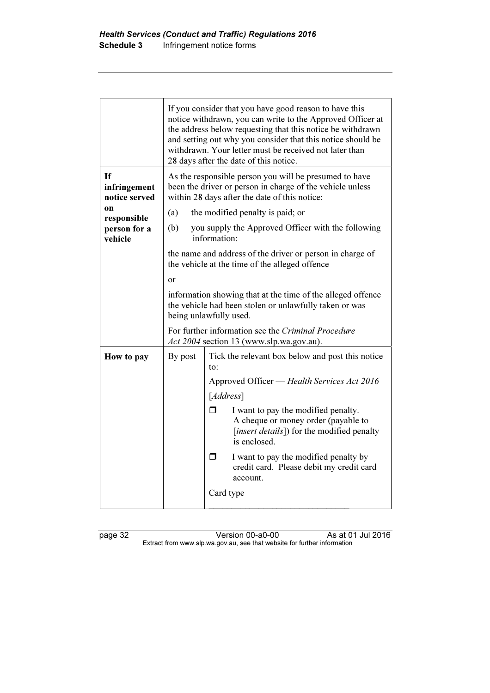|                                     |                                                                                                                                                                      | If you consider that you have good reason to have this<br>notice withdrawn, you can write to the Approved Officer at<br>the address below requesting that this notice be withdrawn<br>and setting out why you consider that this notice should be<br>withdrawn. Your letter must be received not later than<br>28 days after the date of this notice. |  |  |
|-------------------------------------|----------------------------------------------------------------------------------------------------------------------------------------------------------------------|-------------------------------------------------------------------------------------------------------------------------------------------------------------------------------------------------------------------------------------------------------------------------------------------------------------------------------------------------------|--|--|
| If<br>infringement<br>notice served | As the responsible person you will be presumed to have<br>been the driver or person in charge of the vehicle unless<br>within 28 days after the date of this notice: |                                                                                                                                                                                                                                                                                                                                                       |  |  |
| on<br>responsible                   | (a)                                                                                                                                                                  | the modified penalty is paid; or                                                                                                                                                                                                                                                                                                                      |  |  |
| person for a<br>vehicle             | (b)                                                                                                                                                                  | you supply the Approved Officer with the following<br>information:                                                                                                                                                                                                                                                                                    |  |  |
|                                     |                                                                                                                                                                      | the name and address of the driver or person in charge of<br>the vehicle at the time of the alleged offence                                                                                                                                                                                                                                           |  |  |
|                                     | <sub>or</sub>                                                                                                                                                        |                                                                                                                                                                                                                                                                                                                                                       |  |  |
|                                     | information showing that at the time of the alleged offence<br>the vehicle had been stolen or unlawfully taken or was<br>being unlawfully used.                      |                                                                                                                                                                                                                                                                                                                                                       |  |  |
|                                     | For further information see the Criminal Procedure<br><i>Act 2004</i> section 13 (www.slp.wa.gov.au).                                                                |                                                                                                                                                                                                                                                                                                                                                       |  |  |
| How to pay                          | By post                                                                                                                                                              | Tick the relevant box below and post this notice<br>to:                                                                                                                                                                                                                                                                                               |  |  |
|                                     |                                                                                                                                                                      | Approved Officer - Health Services Act 2016                                                                                                                                                                                                                                                                                                           |  |  |
|                                     |                                                                                                                                                                      | [Address]                                                                                                                                                                                                                                                                                                                                             |  |  |
|                                     |                                                                                                                                                                      | $\Box$<br>I want to pay the modified penalty.<br>A cheque or money order (payable to<br>[insert details]) for the modified penalty<br>is enclosed.                                                                                                                                                                                                    |  |  |
|                                     |                                                                                                                                                                      | Π.<br>I want to pay the modified penalty by<br>credit card. Please debit my credit card<br>account.                                                                                                                                                                                                                                                   |  |  |
|                                     |                                                                                                                                                                      | Card type                                                                                                                                                                                                                                                                                                                                             |  |  |

page 32 Version 00-a0-00 As at 01 Jul 2016  $\mathbf{F}$  from which was the set that we besite for further information  $\mathbf{F}$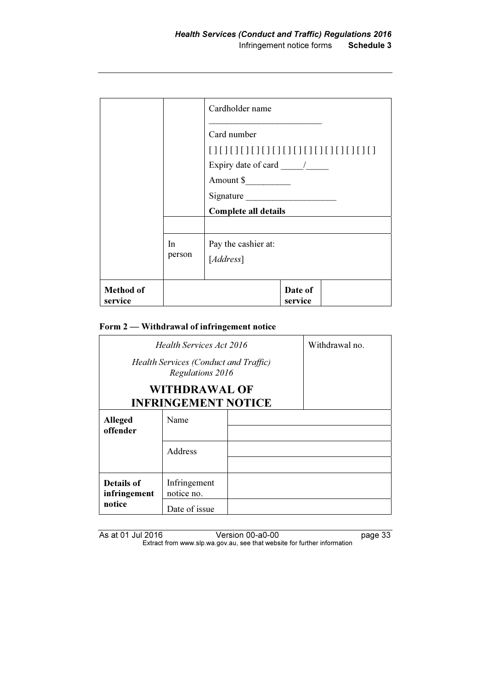|                             |              | Cardholder name                                                                                             |  |  |
|-----------------------------|--------------|-------------------------------------------------------------------------------------------------------------|--|--|
|                             |              | Card number<br>Expiry date of card $\frac{\ }{\ }$<br>Amount \$<br>Signature<br><b>Complete all details</b> |  |  |
|                             | In<br>person | Pay the cashier at:<br>[Address]                                                                            |  |  |
| <b>Method of</b><br>service |              | Date of<br>service                                                                                          |  |  |

# Form 2 — Withdrawal of infringement notice

| <b>Health Services Act 2016</b>                           |                                             |  | Withdrawal no. |
|-----------------------------------------------------------|---------------------------------------------|--|----------------|
| Health Services (Conduct and Traffic)<br>Regulations 2016 |                                             |  |                |
| <b>WITHDRAWAL OF</b><br><b>INFRINGEMENT NOTICE</b>        |                                             |  |                |
| <b>Alleged</b><br>offender                                | Name                                        |  |                |
|                                                           | <b>Address</b>                              |  |                |
| Details of<br>infringement<br>notice                      | Infringement<br>notice no.<br>Date of issue |  |                |

As at 01 Jul 2016 Version 00-a0-00 Page 33 Extract from www.slp.wa.gov.au, see that website for further information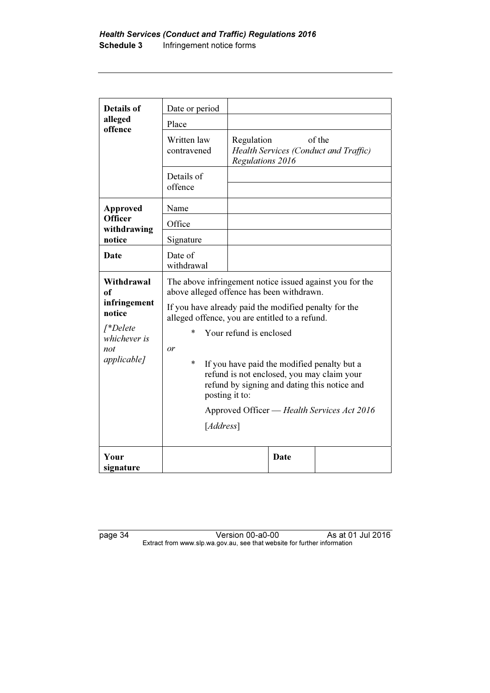| Details of                    | Date or period                                                                                                                                                                                                                                                                                                                                                                                                                                                            |                                                                                   |      |  |
|-------------------------------|---------------------------------------------------------------------------------------------------------------------------------------------------------------------------------------------------------------------------------------------------------------------------------------------------------------------------------------------------------------------------------------------------------------------------------------------------------------------------|-----------------------------------------------------------------------------------|------|--|
| alleged<br>offence            | Place                                                                                                                                                                                                                                                                                                                                                                                                                                                                     |                                                                                   |      |  |
|                               | Written law<br>contravened                                                                                                                                                                                                                                                                                                                                                                                                                                                | of the<br>Regulation<br>Health Services (Conduct and Traffic)<br>Regulations 2016 |      |  |
|                               | Details of<br>offence                                                                                                                                                                                                                                                                                                                                                                                                                                                     |                                                                                   |      |  |
| <b>Approved</b>               | Name                                                                                                                                                                                                                                                                                                                                                                                                                                                                      |                                                                                   |      |  |
| <b>Officer</b><br>withdrawing | Office                                                                                                                                                                                                                                                                                                                                                                                                                                                                    |                                                                                   |      |  |
| notice                        | Signature                                                                                                                                                                                                                                                                                                                                                                                                                                                                 |                                                                                   |      |  |
| Date                          | Date of<br>withdrawal                                                                                                                                                                                                                                                                                                                                                                                                                                                     |                                                                                   |      |  |
| Withdrawal<br>of              | The above infringement notice issued against you for the<br>above alleged offence has been withdrawn.<br>If you have already paid the modified penalty for the<br>alleged offence, you are entitled to a refund.<br>Your refund is enclosed<br>*<br>or<br>*<br>If you have paid the modified penalty but a<br>refund is not enclosed, you may claim your<br>refund by signing and dating this notice and<br>posting it to:<br>Approved Officer - Health Services Act 2016 |                                                                                   |      |  |
| infringement<br>notice        |                                                                                                                                                                                                                                                                                                                                                                                                                                                                           |                                                                                   |      |  |
| [*Delete<br>whichever is      |                                                                                                                                                                                                                                                                                                                                                                                                                                                                           |                                                                                   |      |  |
| not<br><i>applicable]</i>     |                                                                                                                                                                                                                                                                                                                                                                                                                                                                           |                                                                                   |      |  |
|                               |                                                                                                                                                                                                                                                                                                                                                                                                                                                                           |                                                                                   |      |  |
|                               |                                                                                                                                                                                                                                                                                                                                                                                                                                                                           |                                                                                   |      |  |
|                               | [Address]                                                                                                                                                                                                                                                                                                                                                                                                                                                                 |                                                                                   |      |  |
| Your<br>signature             |                                                                                                                                                                                                                                                                                                                                                                                                                                                                           |                                                                                   | Date |  |

page 34 Version 00-a0-00 As at 01 Jul 2016  $\mathbf{F}$  from which was the set that we besite for further information  $\mathbf{F}$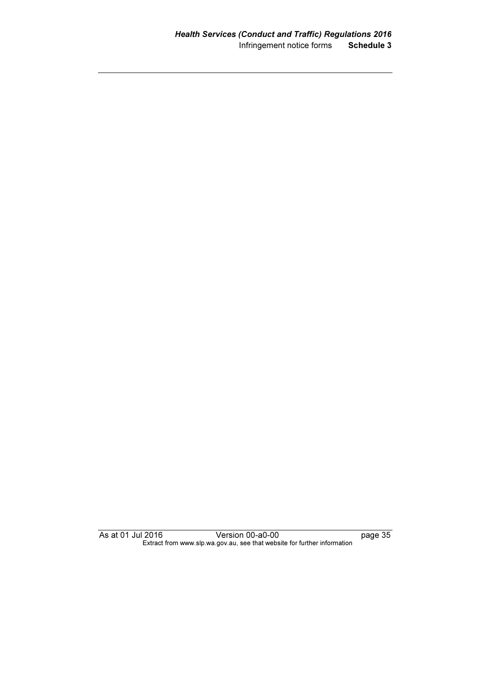As at 01 Jul 2016 Version 00-a0-00 page 35  $\mathbf{F}$  from which was the set that we besite for further information  $\mathbf{F}$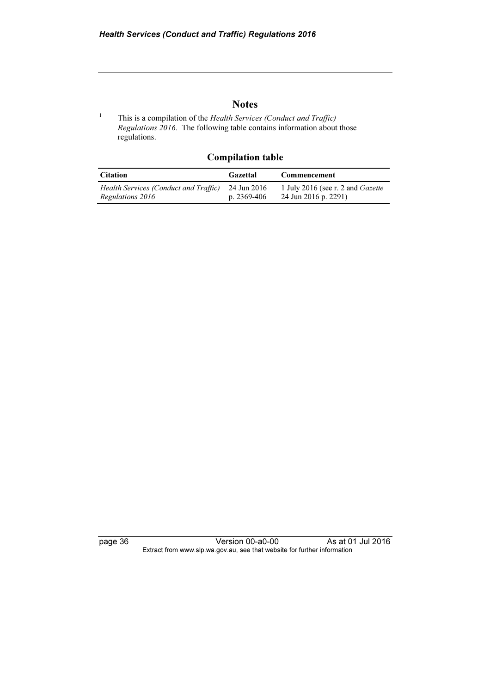#### **Notes**

 This is a compilation of the Health Services (Conduct and Traffic) Regulations 2016. The following table contains information about those regulations.

| <b>Compilation table</b> |  |  |  |  |
|--------------------------|--|--|--|--|
|--------------------------|--|--|--|--|

| <b>Citation</b>                       | Gazettal      | Commencement                             |
|---------------------------------------|---------------|------------------------------------------|
| Health Services (Conduct and Traffic) | 24 Jun 2016   | 1 July 2016 (see r. 2 and <i>Gazette</i> |
| Regulations 2016                      | $p. 2369-406$ | 24 Jun 2016 p. 2291)                     |

1

page 36 Version 00-a0-00 As at 01 Jul 2016 Extract from www.slp.wa.gov.au, see that website for further information